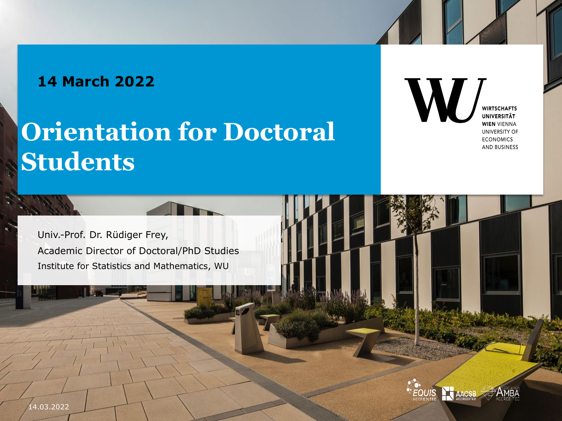#### **14 March 2022**

## **Orientation for Doctoral Students**

**WIRTSCHAFTS UNIVERSITÄT WIEN VIENNA** UNIVERSITY OF **ECONOMICS** AND BUSINESS

Univ.-Prof. Dr. Rüdiger Frey, Academic Director of Doctoral/PhD Studies Institute for Statistics and Mathematics, WU

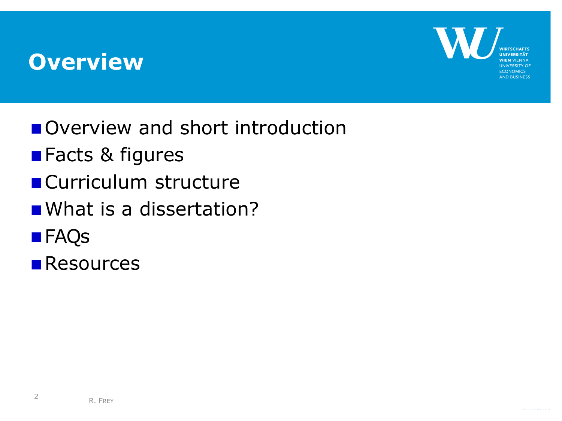#### **Overview**



- Overview and short introduction
- **Facts & figures**
- **Curriculum structure**
- What is a dissertation?
- **FAQS**
- **Resources**

2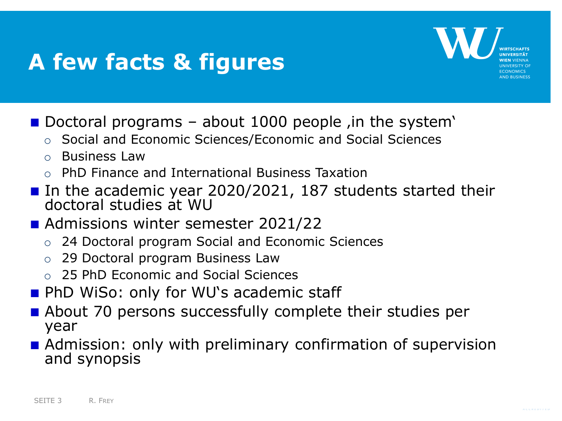### **A few facts & figures**



- Doctoral programs about 1000 people  $\mu$  in the system'
	- o Social and Economic Sciences/Economic and Social Sciences
	- o Business Law
	- o PhD Finance and International Business Taxation
- In the academic year 2020/2021, 187 students started their doctoral studies at WU
- **Admissions winter semester 2021/22** 
	- o 24 Doctoral program Social and Economic Sciences
	- o 29 Doctoral program Business Law
	- o 25 PhD Economic and Social Sciences
- **PhD WiSo: only for WU's academic staff**
- About 70 persons successfully complete their studies per year
- **Admission: only with preliminary confirmation of supervision** and synopsis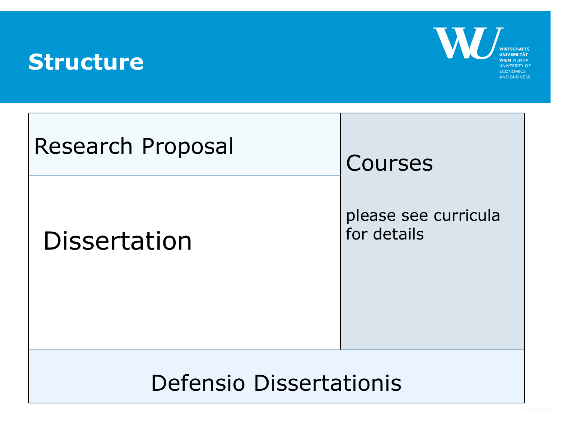#### **Structure**



| <b>Research Proposal</b>       | Courses                             |
|--------------------------------|-------------------------------------|
| <b>Dissertation</b>            | please see curricula<br>for details |
| <b>Defensio Dissertationis</b> |                                     |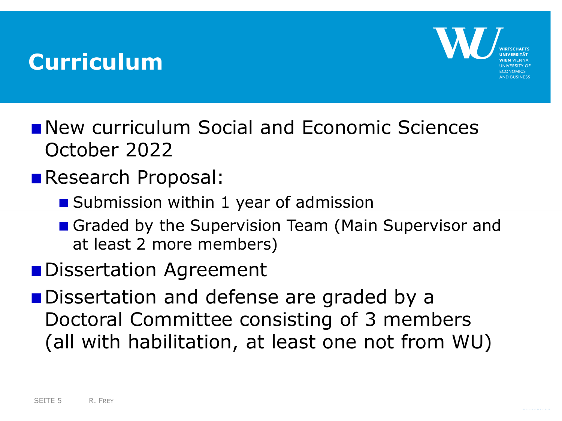#### **Curriculum**



- **New curriculum Social and Economic Sciences** October 2022
- Research Proposal:
	- Submission within 1 year of admission
	- Graded by the Supervision Team (Main Supervisor and at least 2 more members)
- **Dissertation Agreement**
- Dissertation and defense are graded by a Doctoral Committee consisting of 3 members (all with habilitation, at least one not from WU)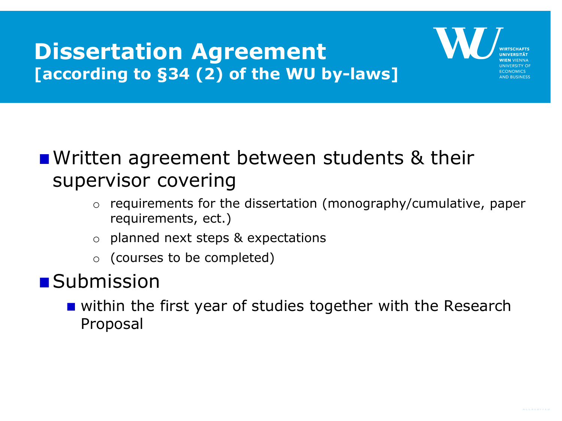#### **Dissertation Agreement [according to §34 (2) of the WU by-laws]**



#### **N** Written agreement between students & their supervisor covering

- o requirements for the dissertation (monography/cumulative, paper requirements, ect.)
- o planned next steps & expectations
- o (courses to be completed)

#### **Submission**

**u** within the first year of studies together with the Research Proposal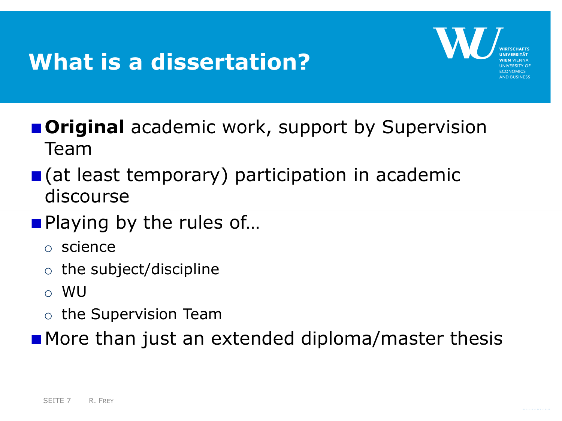## **What is a dissertation?**



- **Criginal** academic work, support by Supervision Team
- (at least temporary) participation in academic discourse
- **Playing by the rules of...** 
	- o science
	- $\circ$  the subject/discipline
	- o WU
	- o the Supervision Team
- **More than just an extended diploma/master thesis**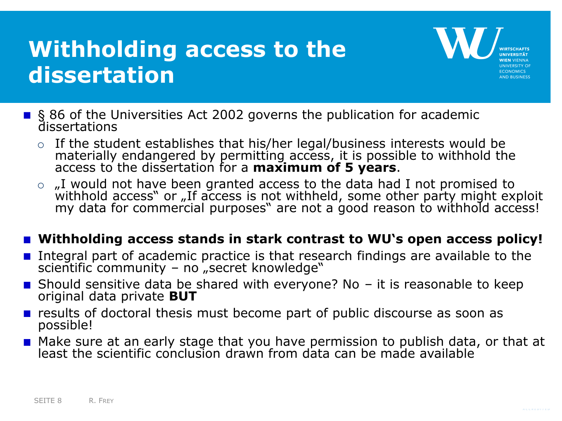## **Withholding access to the dissertation**



- § 86 of the Universities Act 2002 governs the publication for academic dissertations
	- o If the student establishes that his/her legal/business interests would be materially endangered by permitting access, it is possible to withhold the access to the dissertation for a **maximum of 5 years**.
	- $\circ$  , I would not have been granted access to the data had I not promised to withhold access" or "If access is not withheld, some other party might exploit my data for commercial purposes" are not a good reason to withhold access!

#### **Withholding access stands in stark contrast to WU's open access policy!**

- Integral part of academic practice is that research findings are available to the scientific community – no "secret knowledge"
- Should sensitive data be shared with everyone? No  $-$  it is reasonable to keep original data private **BUT**
- $\blacksquare$  results of doctoral thesis must become part of public discourse as soon as possible!
- Make sure at an early stage that you have permission to publish data, or that at least the scientific conclusion drawn from data can be made available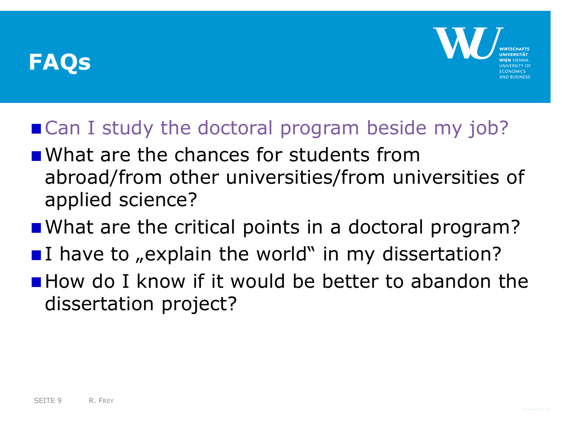

#### ■ Can I study the doctoral program beside my job?

- **N** What are the chances for students from abroad/from other universities/from universities of applied science?
- What are the critical points in a doctoral program?
- I have to  $n \in \mathbb{Z}$  in my dissertation?
- **How do I know if it would be better to abandon the** dissertation project?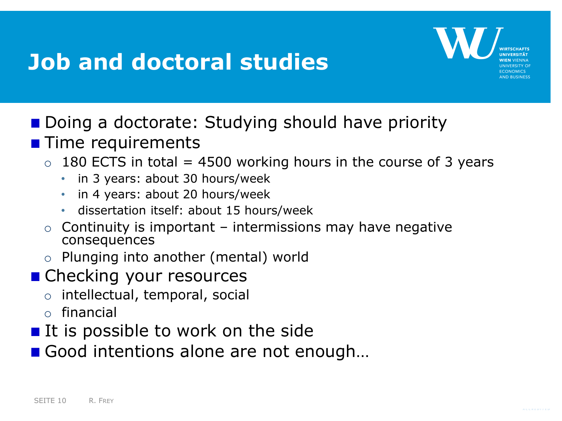### **Job and doctoral studies**



- Doing a doctorate: Studying should have priority
- **Time requirements** 
	- $\circ$  180 ECTS in total = 4500 working hours in the course of 3 years
		- in 3 years: about 30 hours/week
		- in 4 years: about 20 hours/week
		- dissertation itself: about 15 hours/week
	- $\circ$  Continuity is important intermissions may have negative consequences
	- o Plunging into another (mental) world
- Checking your resources
	- o intellectual, temporal, social
	- o financial
- $\blacksquare$  It is possible to work on the side
- Good intentions alone are not enough...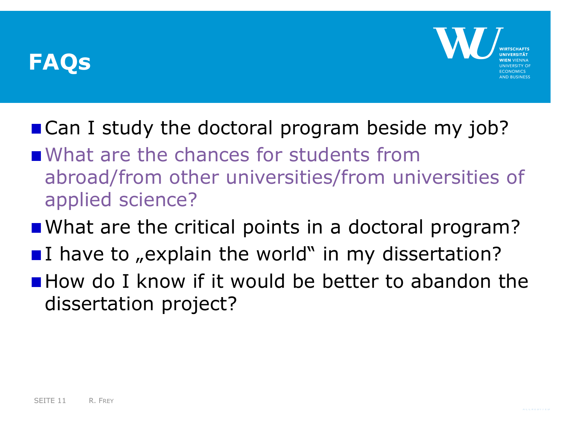

- Can I study the doctoral program beside my job?
- What are the chances for students from abroad/from other universities/from universities of applied science?
- What are the critical points in a doctoral program?
- I have to  $n \in \mathbb{Z}$  in my dissertation?
- **How do I know if it would be better to abandon the** dissertation project?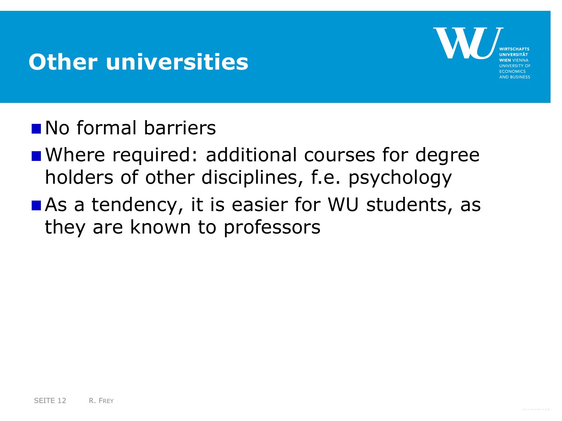#### **Other universities**



- No formal barriers
- **Number 24 Temptuber 10 Femalu Courses for degree** holders of other disciplines, f.e. psychology
- As a tendency, it is easier for WU students, as they are known to professors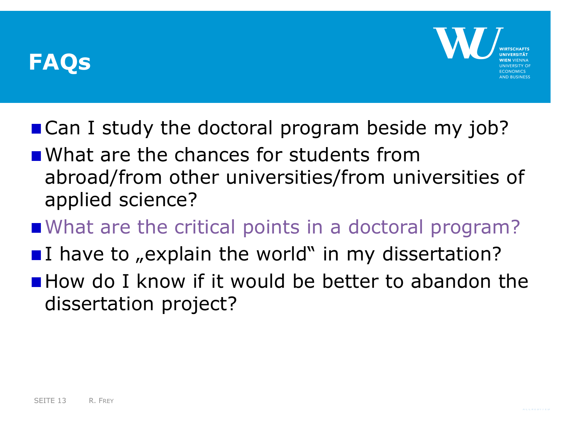

- Can I study the doctoral program beside my job?
- **N** What are the chances for students from abroad/from other universities/from universities of applied science?
- What are the critical points in a doctoral program?
- I have to  $n \in \mathbb{Z}$  in my dissertation?
- **How do I know if it would be better to abandon the** dissertation project?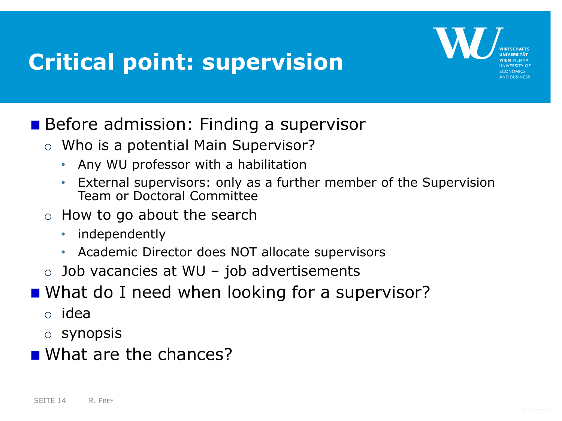## **Critical point: supervision**



#### Before admission: Finding a supervisor

- o Who is a potential Main Supervisor?
	- Any WU professor with a habilitation
	- External supervisors: only as a further member of the Supervision Team or Doctoral Committee
- o How to go about the search
	- independently
	- Academic Director does NOT allocate supervisors
- $\circ$  Job vacancies at WU job advertisements
- What do I need when looking for a supervisor?
	- o idea
	- o synopsis
- What are the chances?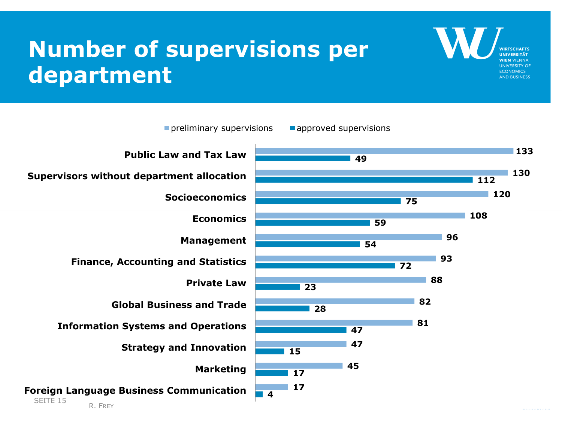## **Number of supervisions per department**



**UNIVERSITY OF ECONOMICS AND BUSINESS**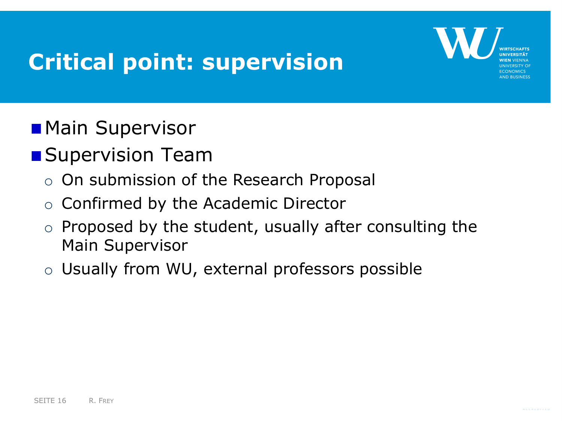## **Critical point: supervision**



- **Main Supervisor**
- **Supervision Team** 
	- o On submission of the Research Proposal
	- $\circ$  Confirmed by the Academic Director
	- $\circ$  Proposed by the student, usually after consulting the Main Supervisor
	- o Usually from WU, external professors possible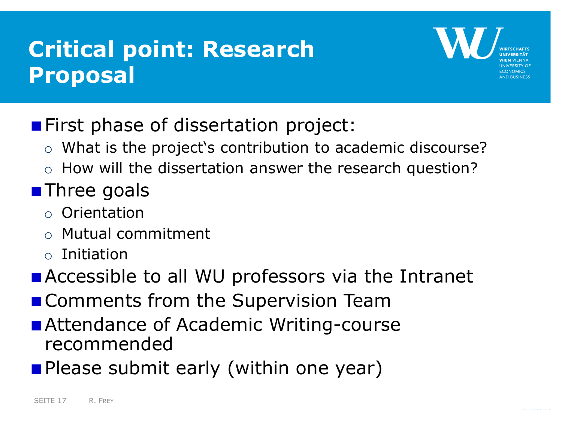## **Critical point: Research Proposal**



- **First phase of dissertation project:** 
	- o What is the project's contribution to academic discourse?
	- o How will the dissertation answer the research question?

#### **Three goals**

- o Orientation
- o Mutual commitment
- o Initiation
- **Example 10 all WU professors via the Intranet**
- **Comments from the Supervision Team**
- **Attendance of Academic Writing-course** recommended
- **Please submit early (within one year)**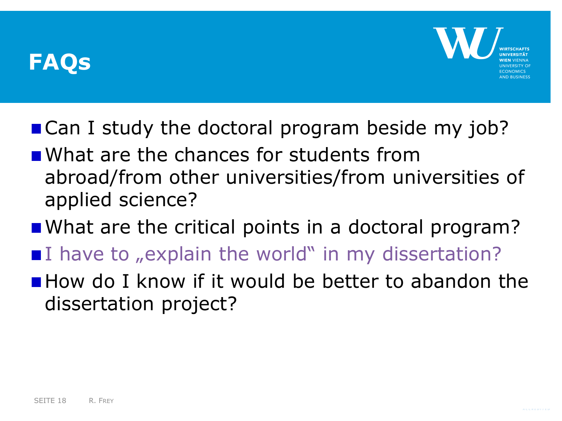

- Can I study the doctoral program beside my job?
- **N** What are the chances for students from abroad/from other universities/from universities of applied science?
- What are the critical points in a doctoral program?
- $\blacksquare$  have to "explain the world" in my dissertation?
- **How do I know if it would be better to abandon the** dissertation project?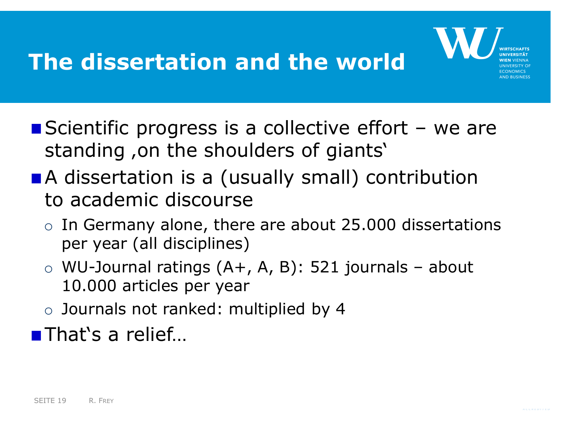## **The dissertation and the world**



- Scientific progress is a collective effort  $-$  we are standing, on the shoulders of giants'
- A dissertation is a (usually small) contribution to academic discourse
	- $\circ$  In Germany alone, there are about 25.000 dissertations per year (all disciplines)
	- $\circ$  WU-Journal ratings (A+, A, B): 521 journals about 10.000 articles per year
	- o Journals not ranked: multiplied by 4

■That's a relief...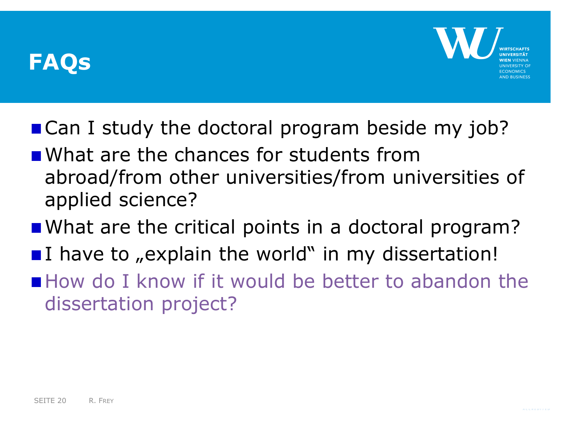

- Can I study the doctoral program beside my job?
- **N** What are the chances for students from abroad/from other universities/from universities of applied science?
- What are the critical points in a doctoral program?
- I have to , explain the world" in my dissertation!
- How do I know if it would be better to abandon the dissertation project?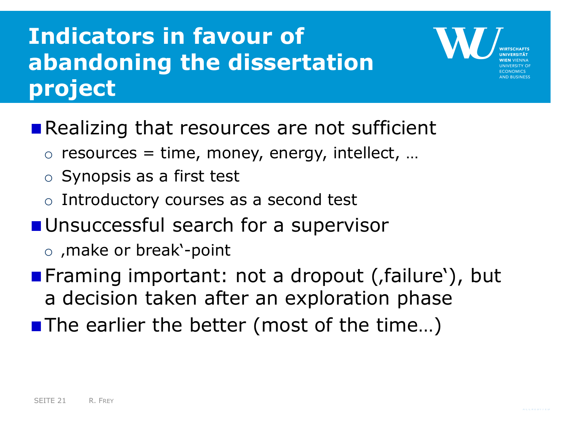## **Indicators in favour of abandoning the dissertation project**

- Realizing that resources are not sufficient
	- $\circ$  resources = time, money, energy, intellect, ...
	- o Synopsis as a first test
	- o Introductory courses as a second test
- **Unsuccessful search for a supervisor** 
	- $\circ$ , make or break'-point
- **Framing important: not a dropout (failure'), but** a decision taken after an exploration phase
- The earlier the better (most of the time...)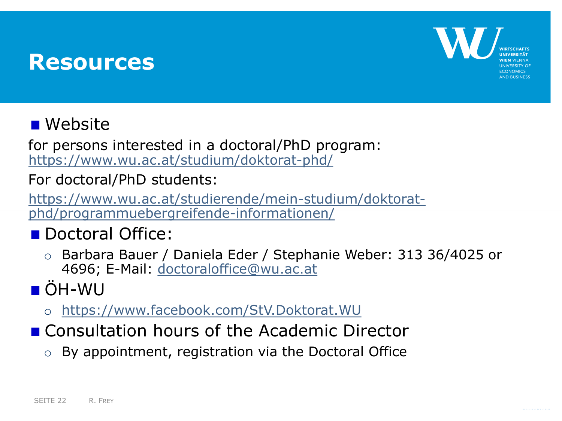#### **Resources**



#### **Nebsite**

for persons interested in a doctoral/PhD program: <https://www.wu.ac.at/studium/doktorat-phd/>

For doctoral/PhD students:

[https://www.wu.ac.at/studierende/mein-studium/doktorat](https://www.wu.ac.at/studierende/mein-studium/doktorat-phd/programmuebergreifende-informationen/)phd/programmuebergreifende-informationen/

- Doctoral Office:
	- o Barbara Bauer / Daniela Eder / Stephanie Weber: 313 36/4025 or 4696; E-Mail: [doctoraloffice@wu.ac.at](mailto:doctoraloffice@wu.ac.at)

## ÖH-WU

- o <https://www.facebook.com/StV.Doktorat.WU>
- Consultation hours of the Academic Director
	- o By appointment, registration via the Doctoral Office